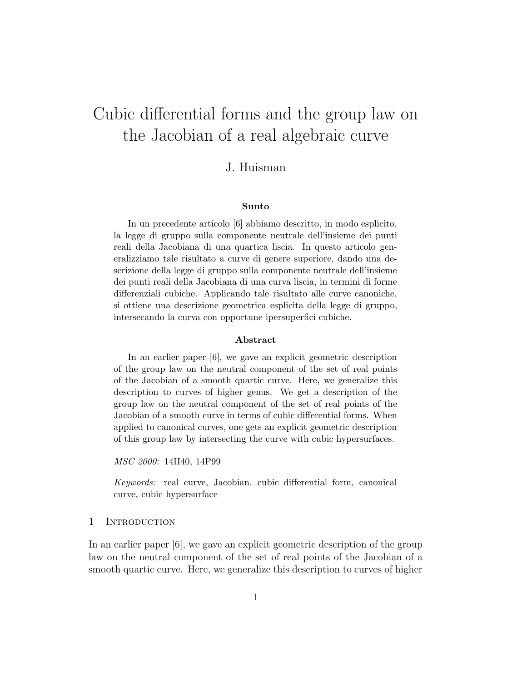# Cubic differential forms and the group law on the Jacobian of a real algebraic curve

## J. Huisman

#### Sunto

In un precedente articolo [6] abbiamo descritto, in modo esplicito, la legge di gruppo sulla componente neutrale dell'insieme dei punti reali della Jacobiana di una quartica liscia. In questo articolo generalizziamo tale risultato a curve di genere superiore, dando una descrizione della legge di gruppo sulla componente neutrale dell'insieme dei punti reali della Jacobiana di una curva liscia, in termini di forme differenziali cubiche. Applicando tale risultato alle curve canoniche, si ottiene una descrizione geometrica esplicita della legge di gruppo, intersecando la curva con opportune ipersuperfici cubiche.

#### Abstract

In an earlier paper [6], we gave an explicit geometric description of the group law on the neutral component of the set of real points of the Jacobian of a smooth quartic curve. Here, we generalize this description to curves of higher genus. We get a description of the group law on the neutral component of the set of real points of the Jacobian of a smooth curve in terms of cubic differential forms. When applied to canonical curves, one gets an explicit geometric description of this group law by intersecting the curve with cubic hypersurfaces.

MSC 2000: 14H40, 14P99

Keywords: real curve, Jacobian, cubic differential form, canonical curve, cubic hypersurface

#### 1 INTRODUCTION

In an earlier paper [6], we gave an explicit geometric description of the group law on the neutral component of the set of real points of the Jacobian of a smooth quartic curve. Here, we generalize this description to curves of higher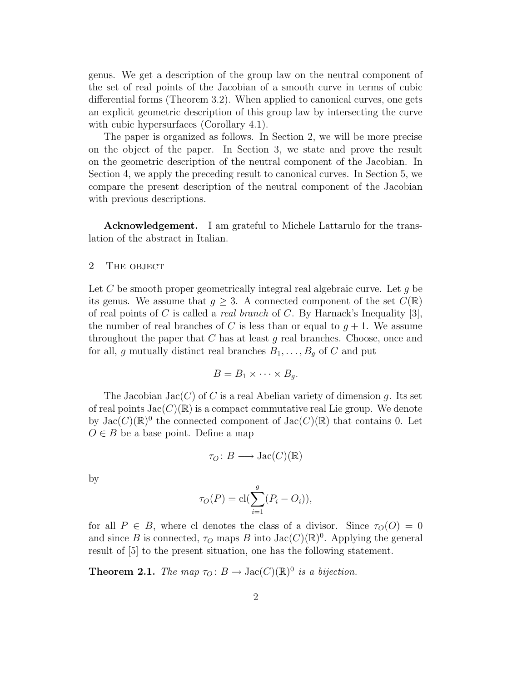genus. We get a description of the group law on the neutral component of the set of real points of the Jacobian of a smooth curve in terms of cubic differential forms (Theorem 3.2). When applied to canonical curves, one gets an explicit geometric description of this group law by intersecting the curve with cubic hypersurfaces (Corollary 4.1).

The paper is organized as follows. In Section 2, we will be more precise on the object of the paper. In Section 3, we state and prove the result on the geometric description of the neutral component of the Jacobian. In Section 4, we apply the preceding result to canonical curves. In Section 5, we compare the present description of the neutral component of the Jacobian with previous descriptions.

Acknowledgement. I am grateful to Michele Lattarulo for the translation of the abstract in Italian.

#### 2 THE OBJECT

Let C be smooth proper geometrically integral real algebraic curve. Let  $q$  be its genus. We assume that  $g \geq 3$ . A connected component of the set  $C(\mathbb{R})$ of real points of C is called a *real branch* of C. By Harnack's Inequality [3], the number of real branches of C is less than or equal to  $g + 1$ . We assume throughout the paper that  $C$  has at least  $g$  real branches. Choose, once and for all, g mutually distinct real branches  $B_1, \ldots, B_g$  of C and put

$$
B=B_1\times\cdots\times B_g.
$$

The Jacobian Jac $(C)$  of C is a real Abelian variety of dimension q. Its set of real points  $Jac(C)(\mathbb{R})$  is a compact commutative real Lie group. We denote by  $\text{Jac}(C)(\mathbb{R})^0$  the connected component of  $\text{Jac}(C)(\mathbb{R})$  that contains 0. Let  $O \in B$  be a base point. Define a map

$$
\tau_O\colon B\longrightarrow \operatorname{Jac}(C)(\mathbb{R})
$$

by

$$
\tau_O(P) = \operatorname{cl}(\sum_{i=1}^g (P_i - O_i)),
$$

for all  $P \in B$ , where cl denotes the class of a divisor. Since  $\tau_O(O) = 0$ and since B is connected,  $\tau_O$  maps B into  $Jac(C)(\mathbb{R})^0$ . Applying the general result of [5] to the present situation, one has the following statement.

**Theorem 2.1.** The map  $\tau_O: B \to \text{Jac}(C)(\mathbb{R})^0$  is a bijection.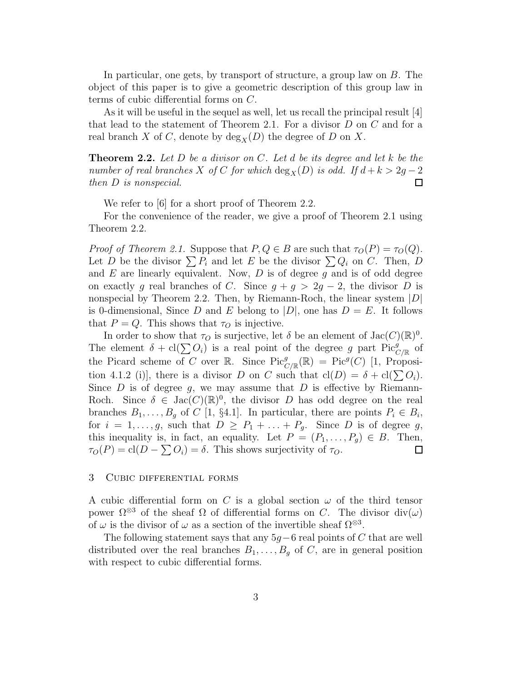In particular, one gets, by transport of structure, a group law on B. The object of this paper is to give a geometric description of this group law in terms of cubic differential forms on C.

As it will be useful in the sequel as well, let us recall the principal result [4] that lead to the statement of Theorem 2.1. For a divisor D on C and for a real branch X of C, denote by  $\deg_X(D)$  the degree of D on X.

**Theorem 2.2.** Let  $D$  be a divisor on  $C$ . Let  $d$  be its degree and let  $k$  be the number of real branches X of C for which  $\deg_X(D)$  is odd. If  $d + k > 2g - 2$ then D is nonspecial. 口

We refer to [6] for a short proof of Theorem 2.2.

For the convenience of the reader, we give a proof of Theorem 2.1 using Theorem 2.2.

*Proof of Theorem 2.1.* Suppose that  $P, Q \in B$  are such that  $\tau_O(P) = \tau_O(Q)$ . Let D be the divisor  $\sum P_i$  and let E be the divisor  $\sum Q_i$  on C. Then, D and  $E$  are linearly equivalent. Now,  $D$  is of degree  $g$  and is of odd degree on exactly g real branches of C. Since  $g + g > 2g - 2$ , the divisor D is nonspecial by Theorem 2.2. Then, by Riemann-Roch, the linear system  $|D|$ is 0-dimensional, Since D and E belong to  $|D|$ , one has  $D = E$ . It follows that  $P = Q$ . This shows that  $\tau_Q$  is injective.

In order to show that  $\tau_O$  is surjective, let  $\delta$  be an element of  $Jac(C)(\mathbb{R})^0$ . The element  $\delta + cl(\sum O_i)$  is a real point of the degree g part  $Pic_{C/\mathbb{R}}^g$  of the Picard scheme of C over R. Since  $Pic_{C/\mathbb{R}}^{g}(\mathbb{R}) = Pic^{g}(C)$  [1, Proposition 4.1.2 (i)], there is a divisor D on C such that  $cl(D) = \delta + cl(\sum O_i)$ . Since D is of degree q, we may assume that D is effective by Riemann-Roch. Since  $\delta \in \text{Jac}(C)(\mathbb{R})^0$ , the divisor D has odd degree on the real branches  $B_1, \ldots, B_g$  of C [1, §4.1]. In particular, there are points  $P_i \in B_i$ , for  $i = 1, \ldots, g$ , such that  $D \ge P_1 + \ldots + P_g$ . Since D is of degree g, this inequality is, in fact, an equality. Let  $P = (P_1, \ldots, P_g) \in B$ . Then,  $\tau_O(P) = \text{cl}(D - \sum O_i) = \delta$ . This shows surjectivity of  $\tau_O$ . □

#### 3 Cubic differential forms

A cubic differential form on C is a global section  $\omega$  of the third tensor power  $\Omega^{\otimes 3}$  of the sheaf  $\Omega$  of differential forms on C. The divisor div( $\omega$ ) of  $\omega$  is the divisor of  $\omega$  as a section of the invertible sheaf  $\Omega^{\otimes 3}$ .

The following statement says that any  $5g-6$  real points of C that are well distributed over the real branches  $B_1, \ldots, B_q$  of C, are in general position with respect to cubic differential forms.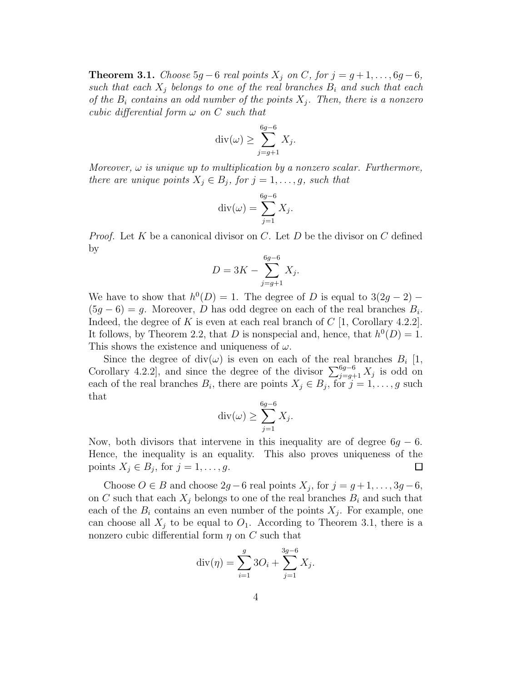**Theorem 3.1.** Choose  $5g - 6$  real points  $X_i$  on C, for  $j = g + 1, \ldots, 6g - 6$ , such that each  $X_j$  belongs to one of the real branches  $B_i$  and such that each of the  $B_i$  contains an odd number of the points  $X_j$ . Then, there is a nonzero cubic differential form  $\omega$  on C such that

$$
\operatorname{div}(\omega) \ge \sum_{j=g+1}^{6g-6} X_j.
$$

Moreover,  $\omega$  is unique up to multiplication by a nonzero scalar. Furthermore, there are unique points  $X_j \in B_j$ , for  $j = 1, \ldots, g$ , such that

$$
\operatorname{div}(\omega) = \sum_{j=1}^{6g-6} X_j.
$$

*Proof.* Let K be a canonical divisor on C. Let D be the divisor on C defined by

$$
D = 3K - \sum_{j=g+1}^{6g-6} X_j.
$$

We have to show that  $h^0(D) = 1$ . The degree of D is equal to  $3(2g - 2)$  –  $(5g - 6) = g$ . Moreover, D has odd degree on each of the real branches  $B_i$ . Indeed, the degree of K is even at each real branch of  $C$  [1, Corollary 4.2.2]. It follows, by Theorem 2.2, that D is nonspecial and, hence, that  $h^0(D) = 1$ . This shows the existence and uniqueness of  $\omega$ .

Since the degree of  $div(\omega)$  is even on each of the real branches  $B_i$  [1, Corollary 4.2.2], and since the degree of the divisor  $\sum_{j=g+1}^{6g-6} X_j$  is odd on each of the real branches  $B_i$ , there are points  $X_j \in B_j$ , for  $j = 1, \ldots, g$  such that

$$
\operatorname{div}(\omega) \ge \sum_{j=1}^{6g-6} X_j.
$$

Now, both divisors that intervene in this inequality are of degree  $6q - 6$ . Hence, the inequality is an equality. This also proves uniqueness of the points  $X_j \in B_j$ , for  $j = 1, \ldots, g$ .  $\Box$ 

Choose  $O \in B$  and choose  $2g - 6$  real points  $X_j$ , for  $j = g + 1, \ldots, 3g - 6$ , on C such that each  $X_j$  belongs to one of the real branches  $B_i$  and such that each of the  $B_i$  contains an even number of the points  $X_j$ . For example, one can choose all  $X_j$  to be equal to  $O_1$ . According to Theorem 3.1, there is a nonzero cubic differential form  $\eta$  on C such that

$$
\operatorname{div}(\eta) = \sum_{i=1}^{g} 3O_i + \sum_{j=1}^{3g-6} X_j.
$$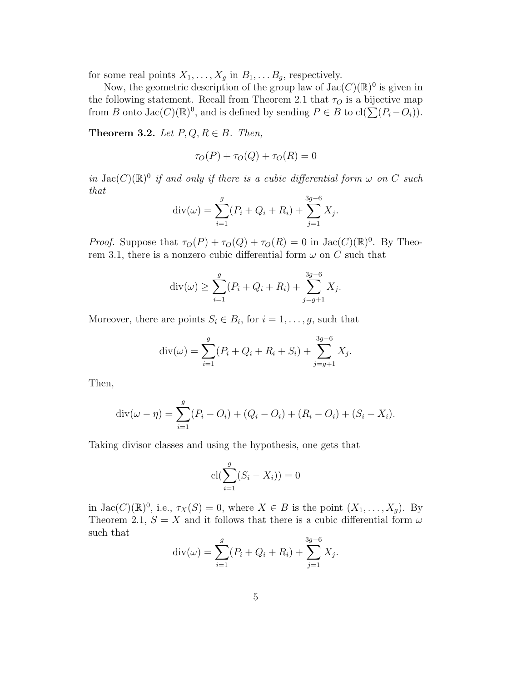for some real points  $X_1, \ldots, X_g$  in  $B_1, \ldots, B_g$ , respectively.

Now, the geometric description of the group law of  $Jac(C)(\mathbb{R})^0$  is given in the following statement. Recall from Theorem 2.1 that  $\tau<sub>O</sub>$  is a bijective map from B onto  $Jac(C)(\mathbb{R})^0$ , and is defined by sending  $P \in B$  to  $cl(\sum (P_i - O_i)).$ 

Theorem 3.2. Let  $P, Q, R \in B$ . Then,

$$
\tau_O(P) + \tau_O(Q) + \tau_O(R) = 0
$$

in  $Jac(C)(\mathbb{R})^0$  if and only if there is a cubic differential form  $\omega$  on C such that

$$
\operatorname{div}(\omega) = \sum_{i=1}^{g} (P_i + Q_i + R_i) + \sum_{j=1}^{3g-6} X_j.
$$

*Proof.* Suppose that  $\tau_O(P) + \tau_O(Q) + \tau_O(R) = 0$  in  $Jac(C)(\mathbb{R})^0$ . By Theorem 3.1, there is a nonzero cubic differential form  $\omega$  on C such that

$$
\operatorname{div}(\omega) \ge \sum_{i=1}^{g} (P_i + Q_i + R_i) + \sum_{j=g+1}^{3g-6} X_j.
$$

Moreover, there are points  $S_i \in B_i$ , for  $i = 1, \ldots, g$ , such that

$$
\operatorname{div}(\omega) = \sum_{i=1}^{g} (P_i + Q_i + R_i + S_i) + \sum_{j=g+1}^{3g-6} X_j.
$$

Then,

$$
\operatorname{div}(\omega - \eta) = \sum_{i=1}^{g} (P_i - O_i) + (Q_i - O_i) + (R_i - O_i) + (S_i - X_i).
$$

Taking divisor classes and using the hypothesis, one gets that

$$
\mathrm{cl}(\sum_{i=1}^{g}(S_i - X_i)) = 0
$$

in  $Jac(C)(\mathbb{R})^0$ , i.e.,  $\tau_X(S) = 0$ , where  $X \in B$  is the point  $(X_1, \ldots, X_g)$ . By Theorem 2.1,  $S = X$  and it follows that there is a cubic differential form  $\omega$ such that

$$
\operatorname{div}(\omega) = \sum_{i=1}^{g} (P_i + Q_i + R_i) + \sum_{j=1}^{3g-6} X_j.
$$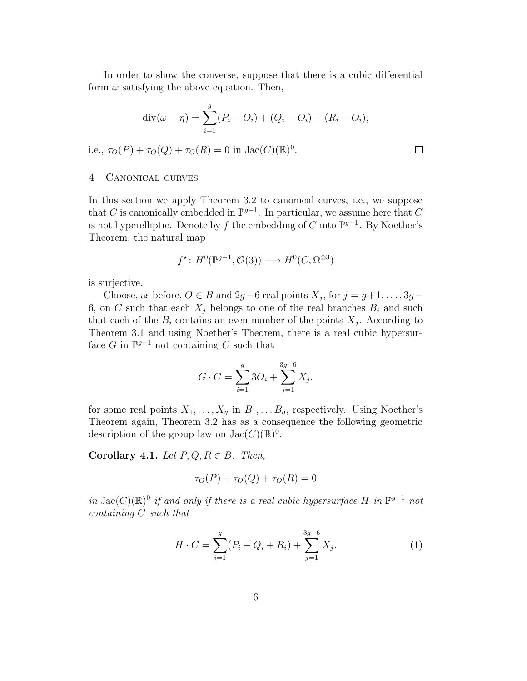In order to show the converse, suppose that there is a cubic differential form  $\omega$  satisfying the above equation. Then,

$$
\text{div}(\omega - \eta) = \sum_{i=1}^{g} (P_i - O_i) + (Q_i - O_i) + (R_i - O_i),
$$
  
i.e.,  $\tau_O(P) + \tau_O(Q) + \tau_O(R) = 0$  in Jac $(C)(\mathbb{R})^0$ .

#### 4 Canonical curves

In this section we apply Theorem 3.2 to canonical curves, i.e., we suppose that C is canonically embedded in  $\mathbb{P}^{g-1}$ . In particular, we assume here that C is not hyperelliptic. Denote by f the embedding of C into  $\mathbb{P}^{g-1}$ . By Noether's Theorem, the natural map

$$
f^{\star} \colon H^0(\mathbb{P}^{g-1}, \mathcal{O}(3)) \longrightarrow H^0(C, \Omega^{\otimes 3})
$$

is surjective.

Choose, as before,  $O \in B$  and  $2g-6$  real points  $X_j$ , for  $j = g+1, \ldots, 3g-$ 6, on C such that each  $X_j$  belongs to one of the real branches  $B_i$  and such that each of the  $B_i$  contains an even number of the points  $X_j$ . According to Theorem 3.1 and using Noether's Theorem, there is a real cubic hypersurface G in  $\mathbb{P}^{g-1}$  not containing C such that

$$
G \cdot C = \sum_{i=1}^{g} 3O_i + \sum_{j=1}^{3g-6} X_j.
$$

for some real points  $X_1, \ldots, X_g$  in  $B_1, \ldots, B_g$ , respectively. Using Noether's Theorem again, Theorem 3.2 has as a consequence the following geometric description of the group law on  $Jac(C)(\mathbb{R})^0$ .

Corollary 4.1. Let  $P, Q, R \in B$ . Then,

$$
\tau_O(P) + \tau_O(Q) + \tau_O(R) = 0
$$

in  $Jac(C)(\mathbb{R})^0$  if and only if there is a real cubic hypersurface H in  $\mathbb{P}^{g-1}$  not containing C such that

$$
H \cdot C = \sum_{i=1}^{g} (P_i + Q_i + R_i) + \sum_{j=1}^{3g-6} X_j.
$$
 (1)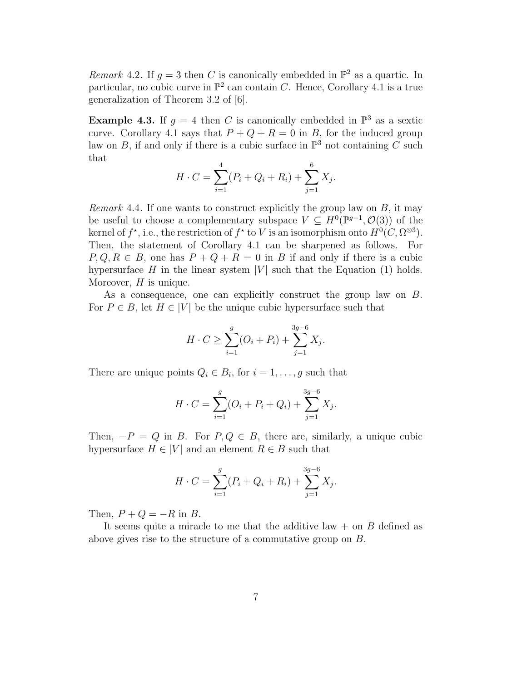Remark 4.2. If  $g = 3$  then C is canonically embedded in  $\mathbb{P}^2$  as a quartic. In particular, no cubic curve in  $\mathbb{P}^2$  can contain C. Hence, Corollary 4.1 is a true generalization of Theorem 3.2 of [6].

**Example 4.3.** If  $g = 4$  then C is canonically embedded in  $\mathbb{P}^3$  as a sextic curve. Corollary 4.1 says that  $P + Q + R = 0$  in B, for the induced group law on B, if and only if there is a cubic surface in  $\mathbb{P}^3$  not containing C such that

$$
H \cdot C = \sum_{i=1}^{4} (P_i + Q_i + R_i) + \sum_{j=1}^{6} X_j.
$$

*Remark* 4.4. If one wants to construct explicitly the group law on  $B$ , it may be useful to choose a complementary subspace  $V \subseteq H^0(\mathbb{P}^{g-1}, \mathcal{O}(3))$  of the kernel of  $f^*$ , i.e., the restriction of  $f^*$  to V is an isomorphism onto  $H^0(C, \Omega^{\otimes 3})$ . Then, the statement of Corollary 4.1 can be sharpened as follows. For  $P, Q, R \in B$ , one has  $P + Q + R = 0$  in B if and only if there is a cubic hypersurface H in the linear system  $|V|$  such that the Equation (1) holds. Moreover,  $H$  is unique.

As a consequence, one can explicitly construct the group law on B. For  $P \in B$ , let  $H \in |V|$  be the unique cubic hypersurface such that

$$
H \cdot C \ge \sum_{i=1}^{g} (O_i + P_i) + \sum_{j=1}^{3g-6} X_j.
$$

There are unique points  $Q_i \in B_i$ , for  $i = 1, \ldots, g$  such that

$$
H \cdot C = \sum_{i=1}^{g} (O_i + P_i + Q_i) + \sum_{j=1}^{3g-6} X_j.
$$

Then,  $-P = Q$  in B. For  $P, Q \in B$ , there are, similarly, a unique cubic hypersurface  $H \in |V|$  and an element  $R \in B$  such that

$$
H \cdot C = \sum_{i=1}^{g} (P_i + Q_i + R_i) + \sum_{j=1}^{3g-6} X_j.
$$

Then,  $P + Q = -R$  in B.

It seems quite a miracle to me that the additive law  $+$  on B defined as above gives rise to the structure of a commutative group on B.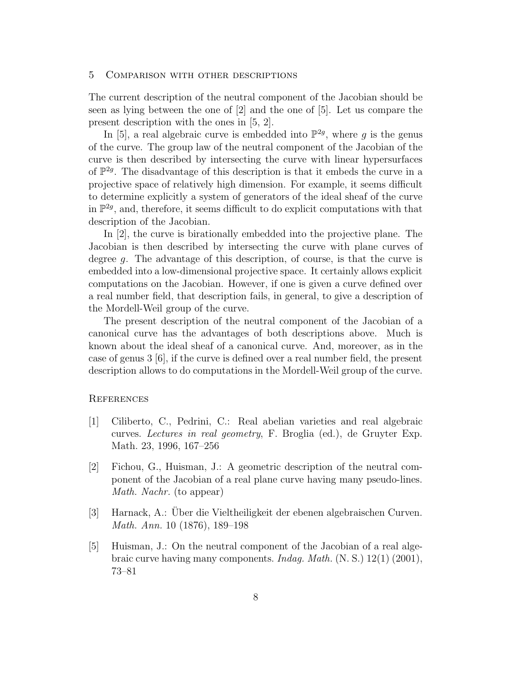#### 5 Comparison with other descriptions

The current description of the neutral component of the Jacobian should be seen as lying between the one of [2] and the one of [5]. Let us compare the present description with the ones in [5, 2].

In [5], a real algebraic curve is embedded into  $\mathbb{P}^{2g}$ , where g is the genus of the curve. The group law of the neutral component of the Jacobian of the curve is then described by intersecting the curve with linear hypersurfaces of  $\mathbb{P}^{2g}$ . The disadvantage of this description is that it embeds the curve in a projective space of relatively high dimension. For example, it seems difficult to determine explicitly a system of generators of the ideal sheaf of the curve in  $\mathbb{P}^{2g}$ , and, therefore, it seems difficult to do explicit computations with that description of the Jacobian.

In [2], the curve is birationally embedded into the projective plane. The Jacobian is then described by intersecting the curve with plane curves of degree g. The advantage of this description, of course, is that the curve is embedded into a low-dimensional projective space. It certainly allows explicit computations on the Jacobian. However, if one is given a curve defined over a real number field, that description fails, in general, to give a description of the Mordell-Weil group of the curve.

The present description of the neutral component of the Jacobian of a canonical curve has the advantages of both descriptions above. Much is known about the ideal sheaf of a canonical curve. And, moreover, as in the case of genus 3 [6], if the curve is defined over a real number field, the present description allows to do computations in the Mordell-Weil group of the curve.

### **REFERENCES**

- [1] Ciliberto, C., Pedrini, C.: Real abelian varieties and real algebraic curves. Lectures in real geometry, F. Broglia (ed.), de Gruyter Exp. Math. 23, 1996, 167–256
- [2] Fichou, G., Huisman, J.: A geometric description of the neutral component of the Jacobian of a real plane curve having many pseudo-lines. Math. Nachr. (to appear)
- [3] Harnack, A.: Über die Vieltheiligkeit der ebenen algebraischen Curven. Math. Ann. 10 (1876), 189–198
- [5] Huisman, J.: On the neutral component of the Jacobian of a real algebraic curve having many components. Indag. Math. (N. S.) 12(1) (2001), 73–81